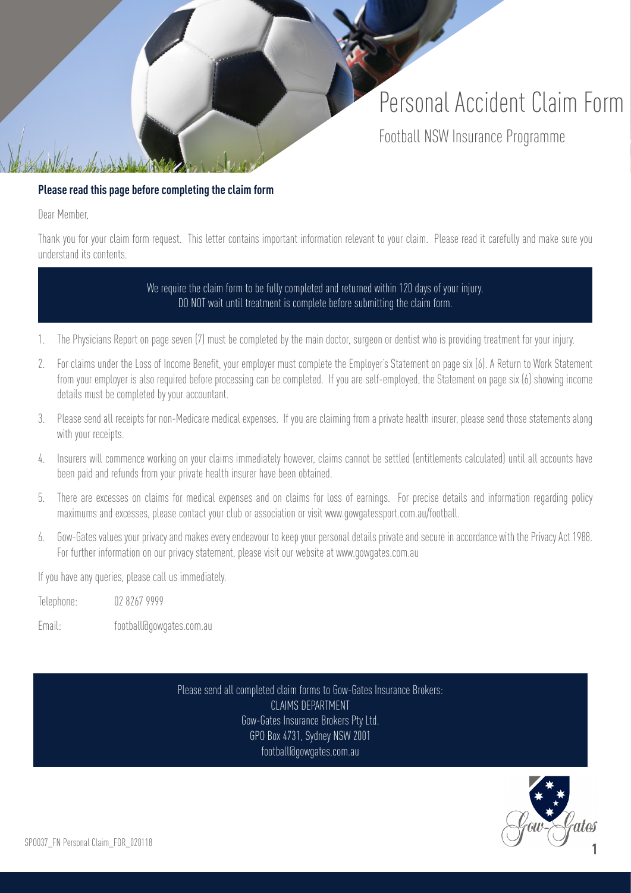# Personal Accident Claim Form Football NSW Insurance Programme

#### **Please read this page before completing the claim form**

Dear Member,

Thank you for your claim form request. This letter contains important information relevant to your claim. Please read it carefully and make sure you understand its contents.

> We require the claim form to be fully completed and returned within 120 days of your injury. DO NOT wait until treatment is complete before submitting the claim form.

- 1. The Physicians Report on page seven (7) must be completed by the main doctor, surgeon or dentist who is providing treatment for your injury.
- 2. For claims under the Loss of Income Benefit, your employer must complete the Employer's Statement on page six (6). A Return to Work Statement from your employer is also required before processing can be completed. If you are self-employed, the Statement on page six (6) showing income details must be completed by your accountant.
- 3. Please send all receipts for non-Medicare medical expenses. If you are claiming from a private health insurer, please send those statements along with your receipts.
- 4. Insurers will commence working on your claims immediately however, claims cannot be settled (entitlements calculated) until all accounts have been paid and refunds from your private health insurer have been obtained.
- 5. There are excesses on claims for medical expenses and on claims for loss of earnings. For precise details and information regarding policy maximums and excesses, please contact your club or association or visit www.gowgatessport.com.au/football.
- 6. Gow-Gates values your privacy and makes every endeavour to keep your personal details private and secure in accordance with the Privacy Act 1988. For further information on our privacy statement, please visit our website at www.gowgates.com.au

If you have any queries, please call us immediately.

Telephone: 02 8267 9999

Email: football@gowgates.com.au

Please send all completed claim forms to Gow-Gates Insurance Brokers: CLAIMS DEPARTMENT Gow-Gates Insurance Brokers Pty Ltd. GPO Box 4731, Sydney NSW 2001 football@gowgates.com.au

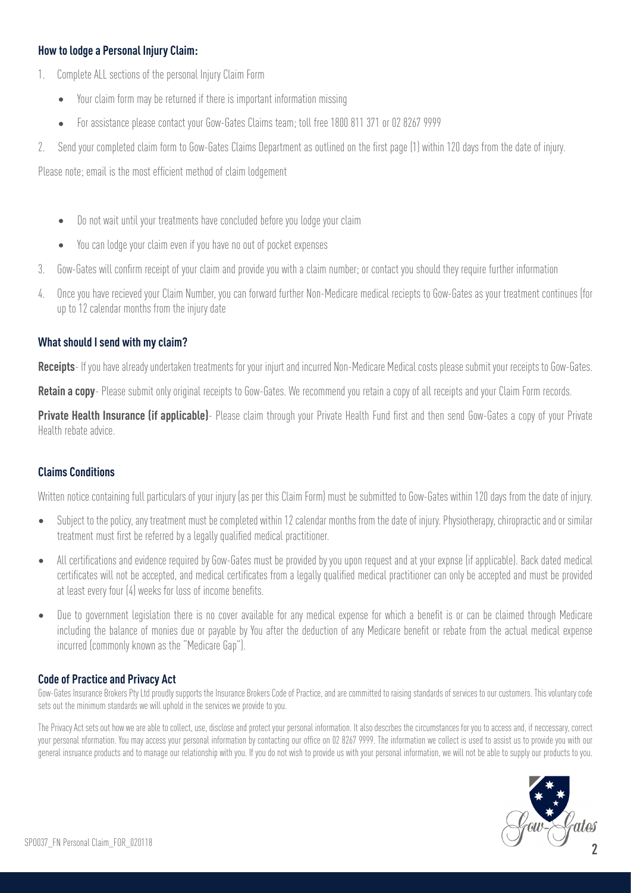#### **How to lodge a Personal Injury Claim:**

- 1. Complete ALL sections of the personal Injury Claim Form
	- Your claim form may be returned if there is important information missing
	- For assistance please contact your Gow-Gates Claims team; toll free 1800 811 371 or 02 8267 9999
- 2. Send your completed claim form to Gow-Gates Claims Department as outlined on the first page (1) within 120 days from the date of injury.

Please note; email is the most efficient method of claim lodgement

- Do not wait until your treatments have concluded before you lodge your claim
- You can lodge your claim even if you have no out of pocket expenses
- 3. Gow-Gates will confirm receipt of your claim and provide you with a claim number; or contact you should they require further information
- 4. Once you have recieved your Claim Number, you can forward further Non-Medicare medical reciepts to Gow-Gates as your treatment continues (for up to 12 calendar months from the injury date

#### **What should I send with my claim?**

**Receipts**- If you have already undertaken treatments for your injurt and incurred Non-Medicare Medical costs please submit your receipts to Gow-Gates.

**Retain a copy**- Please submit only original receipts to Gow-Gates. We recommend you retain a copy of all receipts and your Claim Form records.

**Private Health Insurance (if applicable)**- Please claim through your Private Health Fund first and then send Gow-Gates a copy of your Private Health rebate advice.

#### **Claims Conditions**

Written notice containing full particulars of your injury (as per this Claim Form) must be submitted to Gow-Gates within 120 days from the date of injury.

- Subject to the policy, any treatment must be completed within 12 calendar months from the date of injury. Physiotherapy, chiropractic and or similar treatment must first be referred by a legally qualified medical practitioner.
- All certifications and evidence required by Gow-Gates must be provided by you upon request and at your expnse (if applicable). Back dated medical certificates will not be accepted, and medical certificates from a legally qualified medical practitioner can only be accepted and must be provided at least every four (4) weeks for loss of income benefits.
- Due to government legislation there is no cover available for any medical expense for which a benefit is or can be claimed through Medicare including the balance of monies due or payable by You after the deduction of any Medicare benefit or rebate from the actual medical expense incurred (commonly known as the "Medicare Gap").

#### **Code of Practice and Privacy Act**

Gow-Gates Insurance Brokers Pty Ltd proudly supports the Insurance Brokers Code of Practice, and are committed to raising standards of services to our customers. This voluntary code sets out the minimum standards we will uphold in the services we provide to you.

The Privacy Act sets out how we are able to collect, use, disclose and protect your personal information. It also descrbes the circumstances for you to access and, if neccessary, correct your personal nformation. You may access your personal information by contacting our office on 02 8267 9999. The information we collect is used to assist us to provide you with our general insruance products and to manage our relationship with you. If you do not wish to provide us with your personal information, we will not be able to supply our products to you.

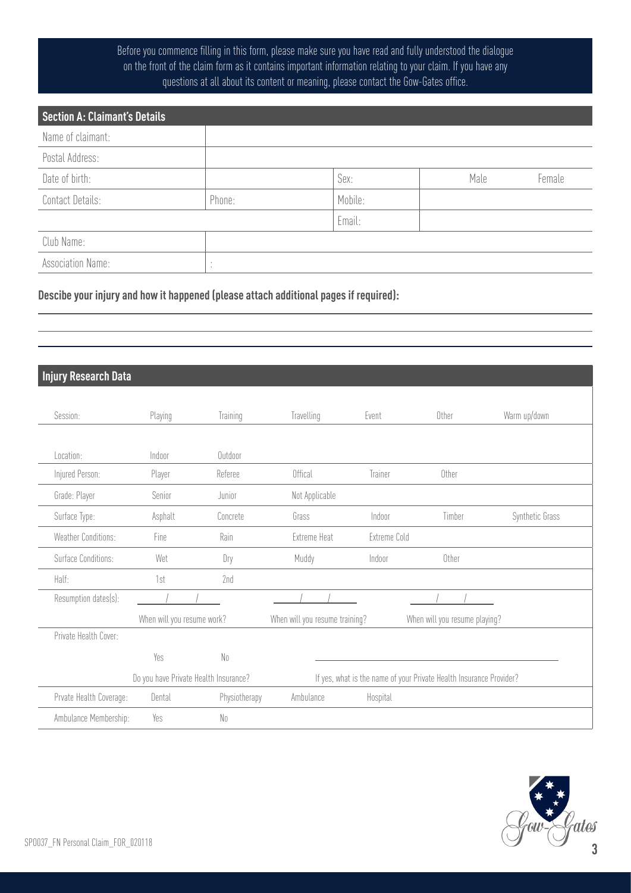### Before you commence filling in this form, please make sure you have read and fully understood the dialogue on the front of the claim form as it contains important information relating to your claim. If you have any questions at all about its content or meaning, please contact the Gow-Gates office.

| <b>Section A: Claimant's Details</b> |         |         |      |        |
|--------------------------------------|---------|---------|------|--------|
| Name of claimant:                    |         |         |      |        |
| Postal Address:                      |         |         |      |        |
| Date of birth:                       |         | Sex:    | Male | Female |
| Contact Details:                     | Phone:  | Mobile: |      |        |
|                                      |         | Email:  |      |        |
| Club Name:                           |         |         |      |        |
| <b>Association Name:</b>             | $\cdot$ |         |      |        |

#### **Descibe your injury and how it happened (please attach additional pages if required):**

## **Injury Research Data**

| Session:                   | Playing                               | Training       | Travelling                     | Event        | Other                                                               | Warm up/down    |
|----------------------------|---------------------------------------|----------------|--------------------------------|--------------|---------------------------------------------------------------------|-----------------|
|                            |                                       |                |                                |              |                                                                     |                 |
| Location:                  | Indoor                                | Outdoor        |                                |              |                                                                     |                 |
| Injured Person:            | Player                                | Referee        | Offical                        | Trainer      | Other                                                               |                 |
| Grade: Player              | Senior                                | Junior         | Not Applicable                 |              |                                                                     |                 |
| Surface Type:              | Asphalt                               | Concrete       | Grass                          | Indoor       | Timber                                                              | Synthetic Grass |
| <b>Weather Conditions:</b> | Fine                                  | Rain           | <b>Extreme Heat</b>            | Extreme Cold |                                                                     |                 |
| Surface Conditions:        | Wet                                   | Dry            | Muddy                          | Indoor       | Other                                                               |                 |
| Half:                      | 1st                                   | 2nd            |                                |              |                                                                     |                 |
| Resumption dates(s):       |                                       |                |                                |              |                                                                     |                 |
|                            | When will you resume work?            |                | When will you resume training? |              | When will you resume playing?                                       |                 |
| Private Health Cover:      |                                       |                |                                |              |                                                                     |                 |
|                            | Yes                                   | No             |                                |              |                                                                     |                 |
|                            | Do you have Private Health Insurance? |                |                                |              | If yes, what is the name of your Private Health Insurance Provider? |                 |
| Prvate Health Coverage:    | Dental                                | Physiotherapy  | Ambulance                      | Hospital     |                                                                     |                 |
| Ambulance Membership:      | Yes                                   | N <sub>0</sub> |                                |              |                                                                     |                 |

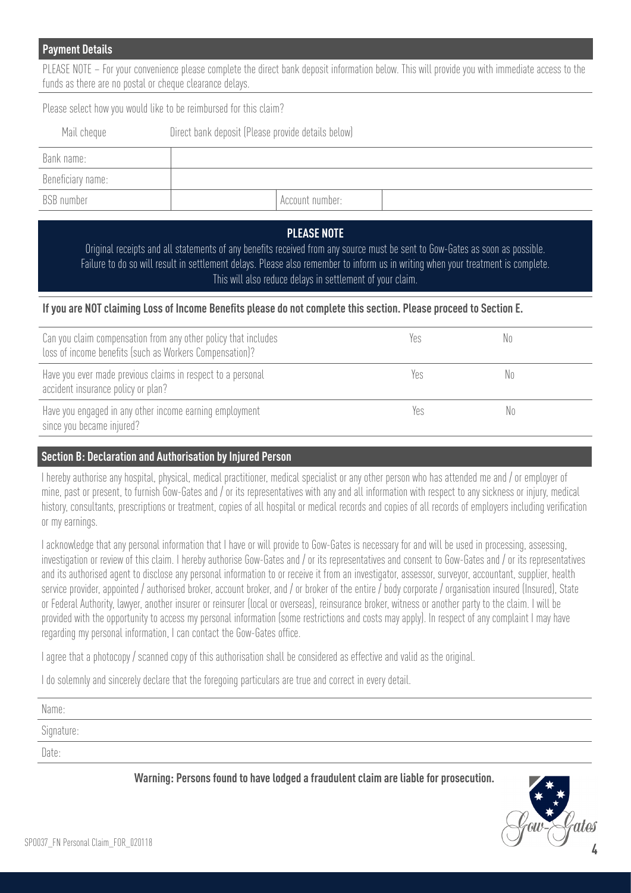#### **Payment Details**

PLEASE NOTE – For your convenience please complete the direct bank deposit information below. This will provide you with immediate access to the funds as there are no postal or cheque clearance delays.

Please select how you would like to be reimbursed for this claim?

| Mail cheque       | Direct bank deposit (Please provide details below) |                 |  |  |  |  |
|-------------------|----------------------------------------------------|-----------------|--|--|--|--|
| Bank name:        |                                                    |                 |  |  |  |  |
| Beneficiary name: |                                                    |                 |  |  |  |  |
| BSB number        |                                                    | Account number: |  |  |  |  |

#### **PLEASE NOTE**

Original receipts and all statements of any benefits received from any source must be sent to Gow-Gates as soon as possible. Failure to do so will result in settlement delays. Please also remember to inform us in writing when your treatment is complete. This will also reduce delays in settlement of your claim.

#### **If you are NOT claiming Loss of Income Benefits please do not complete this section. Please proceed to Section E.**

| Can you claim compensation from any other policy that includes<br>loss of income benefits (such as Workers Compensation)? | Yes  |     |
|---------------------------------------------------------------------------------------------------------------------------|------|-----|
| Have you ever made previous claims in respect to a personal<br>accident insurance policy or plan?                         | Yes  | N٥  |
| Have you engaged in any other income earning employment<br>since you became injured?                                      | Ye.s | No. |

#### **Section B: Declaration and Authorisation by Injured Person**

I hereby authorise any hospital, physical, medical practitioner, medical specialist or any other person who has attended me and / or employer of mine, past or present, to furnish Gow-Gates and / or its representatives with any and all information with respect to any sickness or injury, medical history, consultants, prescriptions or treatment, copies of all hospital or medical records and copies of all records of employers including verification or my earnings.

I acknowledge that any personal information that I have or will provide to Gow-Gates is necessary for and will be used in processing, assessing, investigation or review of this claim. I hereby authorise Gow-Gates and / or its representatives and consent to Gow-Gates and / or its representatives and its authorised agent to disclose any personal information to or receive it from an investigator, assessor, surveyor, accountant, supplier, health service provider, appointed *l* authorised broker, account broker, and *l* or broker of the entire *l* body corporate *l* organisation insured (Insured), State or Federal Authority, lawyer, another insurer or reinsurer (local or overseas), reinsurance broker, witness or another party to the claim. I will be provided with the opportunity to access my personal information (some restrictions and costs may apply). In respect of any complaint I may have regarding my personal information, I can contact the Gow-Gates office.

I agree that a photocopy / scanned copy of this authorisation shall be considered as effective and valid as the original.

I do solemnly and sincerely declare that the foregoing particulars are true and correct in every detail.

| Name:      |  |
|------------|--|
| Signature: |  |
| Date:      |  |

**Warning: Persons found to have lodged a fraudulent claim are liable for prosecution.**

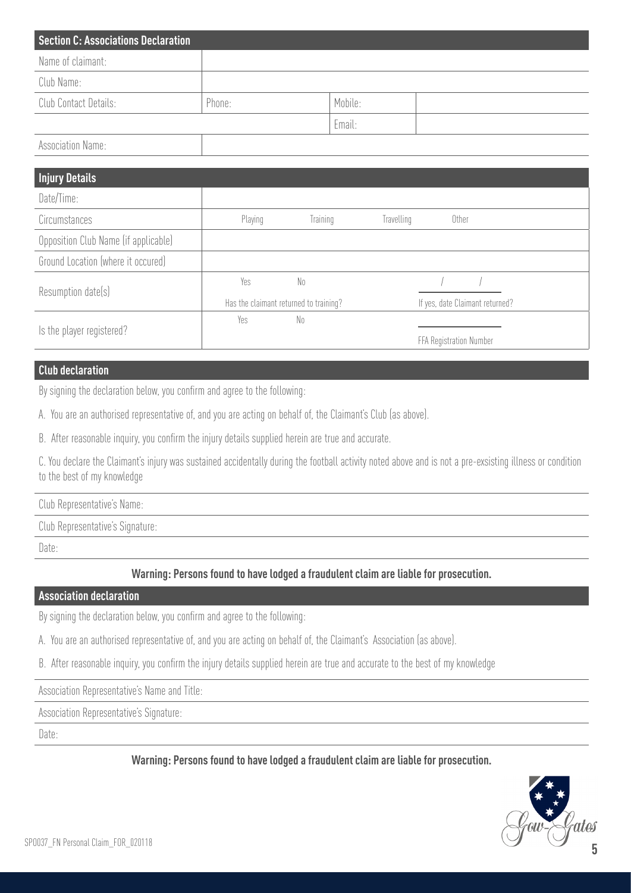| <b>Section C: Associations Declaration</b> |        |         |  |
|--------------------------------------------|--------|---------|--|
| Name of claimant:                          |        |         |  |
| Club Name:                                 |        |         |  |
| Club Contact Details:                      | Phone: | Mobile: |  |
|                                            |        | Email:  |  |
| <b>Association Name:</b>                   |        |         |  |

#### **Injury Details**

| Injury Details                       |         |                                        |            |                                 |  |
|--------------------------------------|---------|----------------------------------------|------------|---------------------------------|--|
| Date/Time:                           |         |                                        |            |                                 |  |
| Circumstances                        | Playing | <b>Training</b>                        | Travelling | Other                           |  |
| Opposition Club Name (if applicable) |         |                                        |            |                                 |  |
| Ground Location (where it occured)   |         |                                        |            |                                 |  |
| Resumption date(s)                   | Yes     | No.                                    |            |                                 |  |
|                                      |         | Has the claimant returned to training? |            | If yes, date Claimant returned? |  |
|                                      | Yes     | No                                     |            |                                 |  |
| Is the player registered?            |         |                                        |            | FFA Registration Number         |  |

#### **Club declaration**

By signing the declaration below, you confirm and agree to the following:

A. You are an authorised representative of, and you are acting on behalf of, the Claimant's Club (as above).

B. After reasonable inquiry, you confirm the injury details supplied herein are true and accurate.

C. You declare the Claimant's injury was sustained accidentally during the football activity noted above and is not a pre-exsisting illness or condition to the best of my knowledge

Club Representative's Name:

Club Representative's Signature:

Date:

**Warning: Persons found to have lodged a fraudulent claim are liable for prosecution.**

#### **Association declaration**

By signing the declaration below, you confirm and agree to the following:

A. You are an authorised representative of, and you are acting on behalf of, the Claimant's Association (as above).

B. After reasonable inquiry, you confirm the injury details supplied herein are true and accurate to the best of my knowledge

Association Representative's Name and Title:

Association Representative's Signature:

Date:

**Warning: Persons found to have lodged a fraudulent claim are liable for prosecution.**

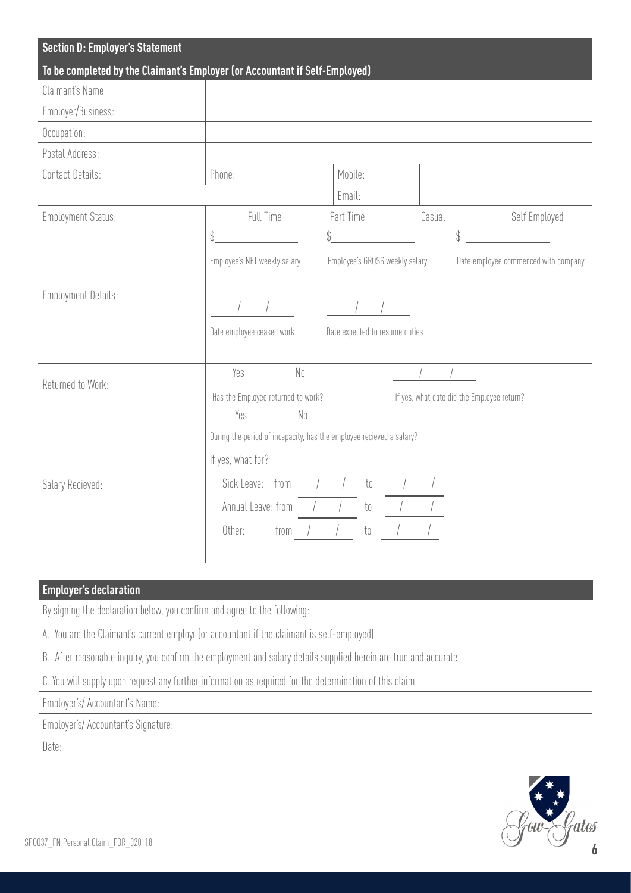| <b>Section D: Employer's Statement</b>                                      |                                                                      |                                |                                            |                                      |  |  |  |
|-----------------------------------------------------------------------------|----------------------------------------------------------------------|--------------------------------|--------------------------------------------|--------------------------------------|--|--|--|
| To be completed by the Claimant's Employer (or Accountant if Self-Employed) |                                                                      |                                |                                            |                                      |  |  |  |
| Claimant's Name                                                             |                                                                      |                                |                                            |                                      |  |  |  |
| Employer/Business:                                                          |                                                                      |                                |                                            |                                      |  |  |  |
| Occupation:                                                                 |                                                                      |                                |                                            |                                      |  |  |  |
| Postal Address:                                                             |                                                                      |                                |                                            |                                      |  |  |  |
| Contact Details:                                                            | Phone:                                                               | Mobile:                        |                                            |                                      |  |  |  |
|                                                                             |                                                                      | Email:                         |                                            |                                      |  |  |  |
| <b>Employment Status:</b>                                                   | Full Time                                                            | Part Time                      | Casual                                     | Self Employed                        |  |  |  |
|                                                                             | \$<br>\$                                                             |                                | \$                                         |                                      |  |  |  |
|                                                                             | Employee's NET weekly salary                                         | Employee's GROSS weekly salary |                                            | Date employee commenced with company |  |  |  |
|                                                                             |                                                                      |                                |                                            |                                      |  |  |  |
| <b>Employment Details:</b>                                                  |                                                                      |                                |                                            |                                      |  |  |  |
|                                                                             | Date employee ceased work<br>Date expected to resume duties          |                                |                                            |                                      |  |  |  |
|                                                                             |                                                                      |                                |                                            |                                      |  |  |  |
|                                                                             | Yes<br>N <sub>0</sub>                                                |                                |                                            |                                      |  |  |  |
| Returned to Work:                                                           | Has the Employee returned to work?                                   |                                | If yes, what date did the Employee return? |                                      |  |  |  |
|                                                                             | Yes<br>N <sub>0</sub>                                                |                                |                                            |                                      |  |  |  |
|                                                                             | During the period of incapacity, has the employee recieved a salary? |                                |                                            |                                      |  |  |  |
|                                                                             | If yes, what for?                                                    |                                |                                            |                                      |  |  |  |
|                                                                             | Sick Leave: from                                                     |                                |                                            |                                      |  |  |  |
| Salary Recieved:                                                            |                                                                      | $\overline{t}0$                |                                            |                                      |  |  |  |
|                                                                             | Annual Leave: from                                                   | $\mathfrak{t} \mathfrak{0}$    |                                            |                                      |  |  |  |
|                                                                             | Other:<br>from                                                       | $\mathfrak{t}_0$               |                                            |                                      |  |  |  |
|                                                                             |                                                                      |                                |                                            |                                      |  |  |  |

## **Employer's declaration**

By signing the declaration below, you confirm and agree to the following:

A. You are the Claimant's current employr (or accountant if the claimant is self-employed)

B. After reasonable inquiry, you confirm the employment and salary details supplied herein are true and accurate

C. You will supply upon request any further information as required for the determination of this claim

Employer's/ Accountant's Name:

Employer's/ Accountant's Signature:

Date:

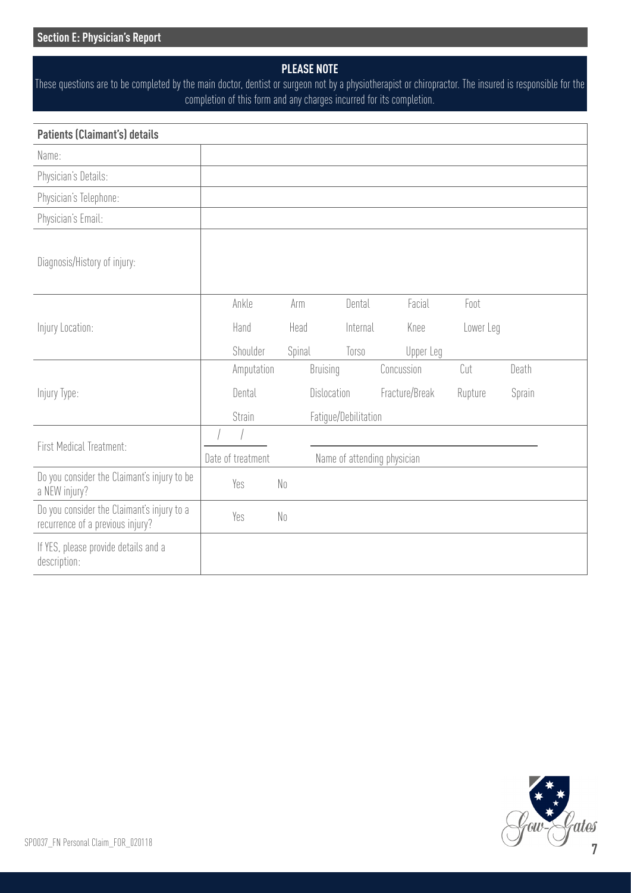## **PLEASE NOTE**

These questions are to be completed by the main doctor, dentist or surgeon not by a physiotherapist or chiropractor. The insured is responsible for the completion of this form and any charges incurred for its completion.

| <b>Patients (Claimant's) details</b>                                           |        |                   |                |                      |                             |                |           |           |        |
|--------------------------------------------------------------------------------|--------|-------------------|----------------|----------------------|-----------------------------|----------------|-----------|-----------|--------|
| Name:                                                                          |        |                   |                |                      |                             |                |           |           |        |
| Physician's Details:                                                           |        |                   |                |                      |                             |                |           |           |        |
| Physician's Telephone:                                                         |        |                   |                |                      |                             |                |           |           |        |
| Physician's Email:                                                             |        |                   |                |                      |                             |                |           |           |        |
| Diagnosis/History of injury:                                                   |        |                   |                |                      |                             |                |           |           |        |
|                                                                                |        | Ankle             | Arm            |                      | Dental                      |                | Facial    | Foot      |        |
| Injury Location:                                                               |        | Hand              | Head           |                      | Internal                    |                | Knee      | Lower Leg |        |
|                                                                                |        | Shoulder          | Spinal         |                      | Torso                       |                | Upper Leg |           |        |
|                                                                                |        | Amputation        |                | <b>Bruising</b>      |                             | Concussion     |           | Cut       | Death  |
| Injury Type:                                                                   |        | Dental            |                | Dislocation          |                             | Fracture/Break |           | Rupture   | Sprain |
|                                                                                | Strain |                   |                | Fatigue/Debilitation |                             |                |           |           |        |
| First Medical Treatment:                                                       |        |                   |                |                      |                             |                |           |           |        |
|                                                                                |        | Date of treatment |                |                      | Name of attending physician |                |           |           |        |
| Do you consider the Claimant's injury to be<br>a NEW injury?                   |        | Yes               | N <sub>0</sub> |                      |                             |                |           |           |        |
| Do you consider the Claimant's injury to a<br>recurrence of a previous injury? |        | Yes               | N <sub>0</sub> |                      |                             |                |           |           |        |
| If YES, please provide details and a<br>description:                           |        |                   |                |                      |                             |                |           |           |        |

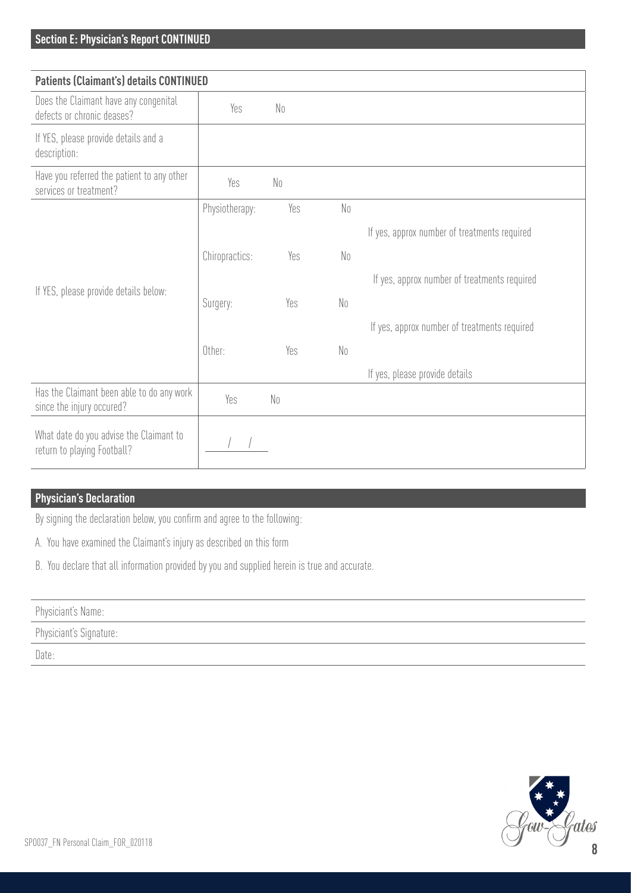| <b>Patients (Claimant's) details CONTINUED</b>                         |                |                |                |                                              |
|------------------------------------------------------------------------|----------------|----------------|----------------|----------------------------------------------|
| Does the Claimant have any congenital<br>defects or chronic deases?    | Yes            | N <sub>0</sub> |                |                                              |
| If YES, please provide details and a<br>description:                   |                |                |                |                                              |
| Have you referred the patient to any other<br>services or treatment?   | Yes            | N <sub>0</sub> |                |                                              |
|                                                                        | Physiotherapy: | Yes            | N <sub>0</sub> |                                              |
|                                                                        |                |                |                | If yes, approx number of treatments required |
|                                                                        | Chiropractics: | Yes            | N <sub>0</sub> |                                              |
|                                                                        |                |                |                | If yes, approx number of treatments required |
| If YES, please provide details below:                                  | Surgery:       | Yes            | N <sub>0</sub> |                                              |
|                                                                        |                |                |                | If yes, approx number of treatments required |
|                                                                        | Other:         | Yes            | N <sub>0</sub> |                                              |
|                                                                        |                |                |                | If yes, please provide details               |
| Has the Claimant been able to do any work<br>since the injury occured? | Yes            | N <sub>0</sub> |                |                                              |
| What date do you advise the Claimant to<br>return to playing Football? |                |                |                |                                              |

## **Physician's Declaration**

By signing the declaration below, you confirm and agree to the following:

- A. You have examined the Claimant's injury as described on this form
- B. You declare that all information provided by you and supplied herein is true and accurate.

| Dhuninian<br>uatu s<br>W<br><b>INALLIE</b><br><b>11</b>                                                 |  |
|---------------------------------------------------------------------------------------------------------|--|
| the company's state of the company's<br>the contract of the contract of the contract of the contract of |  |

Physiciant's Signature:

Date: